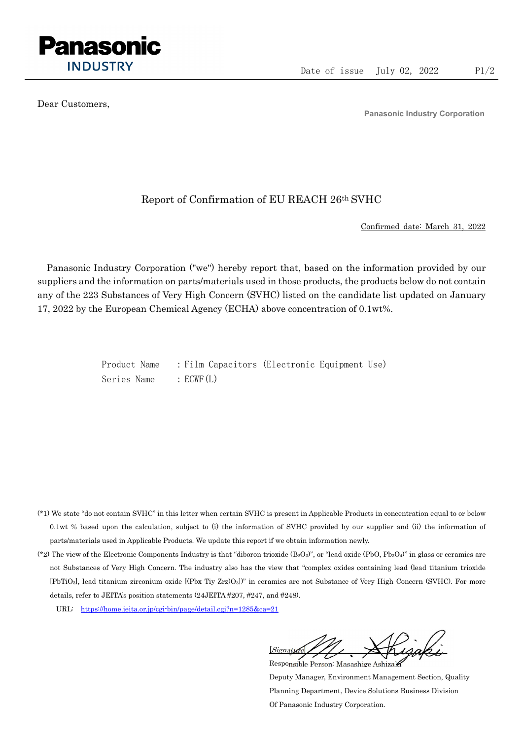

Dear Customers,

Panasonic Industry Corporation

## Report of Confirmation of EU REACH 26th SVHC

Confirmed date: March 31, 2022

Panasonic Industry Corporation ("we") hereby report that, based on the information provided by our suppliers and the information on parts/materials used in those products, the products below do not contain any of the 223 Substances of Very High Concern (SVHC) listed on the candidate list updated on January 17, 2022 by the European Chemical Agency (ECHA) above concentration of 0.1wt%.

> Product Name : Film Capacitors (Electronic Equipment Use) Series Name : ECWF(L)

- (\*1) We state "do not contain SVHC" in this letter when certain SVHC is present in Applicable Products in concentration equal to or below 0.1wt % based upon the calculation, subject to (i) the information of SVHC provided by our supplier and (ii) the information of parts/materials used in Applicable Products. We update this report if we obtain information newly.
- (\*2) The view of the Electronic Components Industry is that "diboron trioxide  $(B_2O_3)$ ", or "lead oxide (PbO, Pb<sub>3</sub>O<sub>4</sub>)" in glass or ceramics are not Substances of Very High Concern. The industry also has the view that "complex oxides containing lead (lead titanium trioxide [PbTiO3], lead titanium zirconium oxide [(Pbx Tiy Zrz)O3])" in ceramics are not Substance of Very High Concern (SVHC). For more details, refer to JEITA's position statements (24JEITA #207, #247, and #248).
	- URL: https://home.jeita.or.jp/cgi-bin/page/detail.cgi?n=1285&ca=21

[Signature] Responsible Person: Masashige Ashizaki

Deputy Manager, Environment Management Section, Quality Planning Department, Device Solutions Business Division Of Panasonic Industry Corporation.